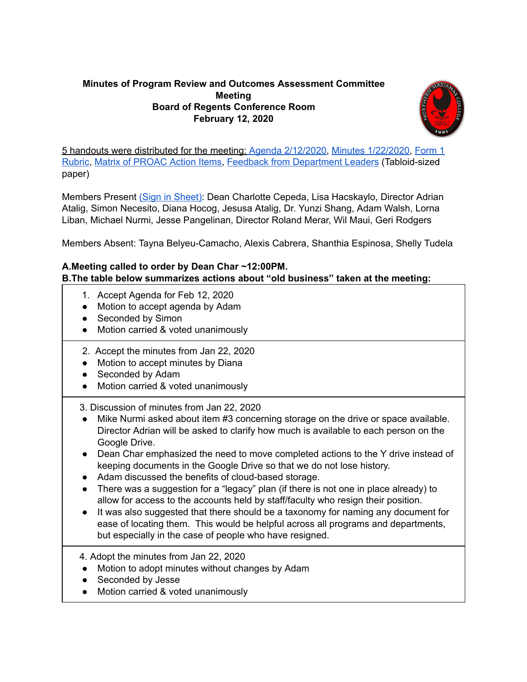## **Minutes of Program Review and Outcomes Assessment Committee Meeting Board of Regents Conference Room February 12, 2020**



5 handouts were distributed for the meeting: Agenda [2/12/2020,](https://drive.google.com/file/d/1FvTn3_O0Koul5uHsUJ2FDBSwvrkkccYj/view?usp=sharing) Minutes [1/22/2020](https://drive.google.com/file/d/1ip9UVnjZvaaoUu0M0EwgiGt5pHYqsEBh/view?usp=sharing), [Form](https://drive.google.com/file/d/11EywV5QkiwQyCmpWVcfxSXzZi0R1OF0S/view?usp=sharing) 1 [Rubric,](https://drive.google.com/file/d/11EywV5QkiwQyCmpWVcfxSXzZi0R1OF0S/view?usp=sharing) Matrix of [PROAC](https://docs.google.com/document/d/1vKD0vIusD81xsZFdTpeIkzNun_0jSOr5RU2HOgiRBdo/edit?usp=sharing) Action Items, Feedback from [Department](https://drive.google.com/file/d/1KjvIFEX-znr1J53kdpO03xd0dNPJ-yii/view?usp=sharing) Leaders (Tabloid-sized paper)

Members Present (Sign in [Sheet\):](https://drive.google.com/file/d/1JPzDnpTIkDRwSy0hU-0UGno0gWPLFhDZ/view?usp=sharing) Dean Charlotte Cepeda, Lisa Hacskaylo, Director Adrian Atalig, Simon Necesito, Diana Hocog, Jesusa Atalig, Dr. Yunzi Shang, Adam Walsh, Lorna Liban, Michael Nurmi, Jesse Pangelinan, Director Roland Merar, Wil Maui, Geri Rodgers

Members Absent: Tayna Belyeu-Camacho, Alexis Cabrera, Shanthia Espinosa, Shelly Tudela

## **A.Meeting called to order by Dean Char ~12:00PM. B.The table below summarizes actions about "old business" taken at the meeting:**

- 1. Accept Agenda for Feb 12, 2020
- Motion to accept agenda by Adam
- Seconded by Simon
- Motion carried & voted unanimously
- 2. Accept the minutes from Jan 22, 2020
- Motion to accept minutes by Diana
- Seconded by Adam
- Motion carried & voted unanimously
- 3. Discussion of minutes from Jan 22, 2020
- Mike Nurmi asked about item #3 concerning storage on the drive or space available. Director Adrian will be asked to clarify how much is available to each person on the Google Drive.
- Dean Char emphasized the need to move completed actions to the Y drive instead of keeping documents in the Google Drive so that we do not lose history.
- Adam discussed the benefits of cloud-based storage.
- There was a suggestion for a "legacy" plan (if there is not one in place already) to allow for access to the accounts held by staff/faculty who resign their position.
- It was also suggested that there should be a taxonomy for naming any document for ease of locating them. This would be helpful across all programs and departments, but especially in the case of people who have resigned.

4. Adopt the minutes from Jan 22, 2020

- Motion to adopt minutes without changes by Adam
- Seconded by Jesse
- Motion carried & voted unanimously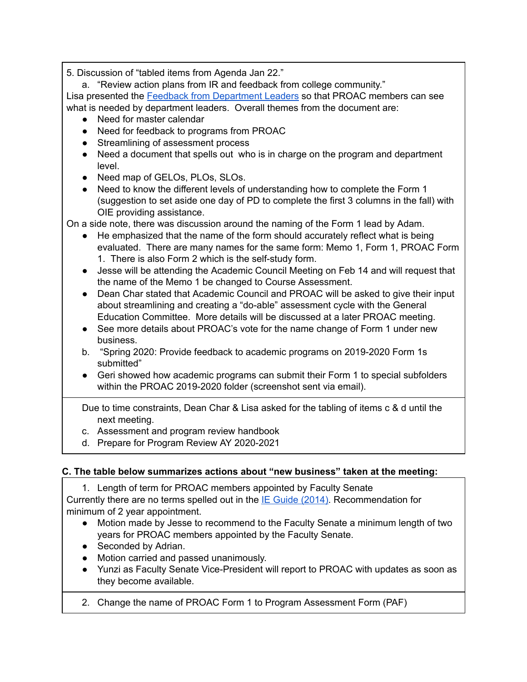5. Discussion of "tabled items from Agenda Jan 22."

a. "Review action plans from IR and feedback from college community."

Lisa presented the Feedback from [Department](https://drive.google.com/file/d/1KjvIFEX-znr1J53kdpO03xd0dNPJ-yii/view?usp=sharing) Leaders so that PROAC members can see what is needed by department leaders. Overall themes from the document are:

- Need for master calendar
- Need for feedback to programs from PROAC
- Streamlining of assessment process
- Need a document that spells out who is in charge on the program and department level.
- Need map of GELOs, PLOs, SLOs.
- Need to know the different levels of understanding how to complete the Form 1 (suggestion to set aside one day of PD to complete the first 3 columns in the fall) with OIE providing assistance.

On a side note, there was discussion around the naming of the Form 1 lead by Adam.

- He emphasized that the name of the form should accurately reflect what is being evaluated. There are many names for the same form: Memo 1, Form 1, PROAC Form 1. There is also Form 2 which is the self-study form.
- Jesse will be attending the Academic Council Meeting on Feb 14 and will request that the name of the Memo 1 be changed to Course Assessment.
- Dean Char stated that Academic Council and PROAC will be asked to give their input about streamlining and creating a "do-able" assessment cycle with the General Education Committee. More details will be discussed at a later PROAC meeting.
- See more details about PROAC's vote for the name change of Form 1 under new business.
- b. "Spring 2020: Provide feedback to academic programs on 2019-2020 Form 1s submitted"
- Geri showed how academic programs can submit their Form 1 to special subfolders within the PROAC 2019-2020 folder (screenshot sent via email).

Due to time constraints, Dean Char & Lisa asked for the tabling of items c & d until the next meeting.

- c. Assessment and program review handbook
- d. Prepare for Program Review AY 2020-2021

## **C. The table below summarizes actions about "new business" taken at the meeting:**

1. Length of term for PROAC members appointed by Faculty Senate

Currently there are no terms spelled out in the IE Guide [\(2014\).](http://www.marianas.edu/media/resource%20documents/2013%20IE%20Guide/Institutional%20Excellence%20Guide%20October%202014%20FINAL%20(4.28.14).pdf) Recommendation for minimum of 2 year appointment.

- Motion made by Jesse to recommend to the Faculty Senate a minimum length of two years for PROAC members appointed by the Faculty Senate.
- Seconded by Adrian.
- Motion carried and passed unanimously.
- Yunzi as Faculty Senate Vice-President will report to PROAC with updates as soon as they become available.
- 2. Change the name of PROAC Form 1 to Program Assessment Form (PAF)